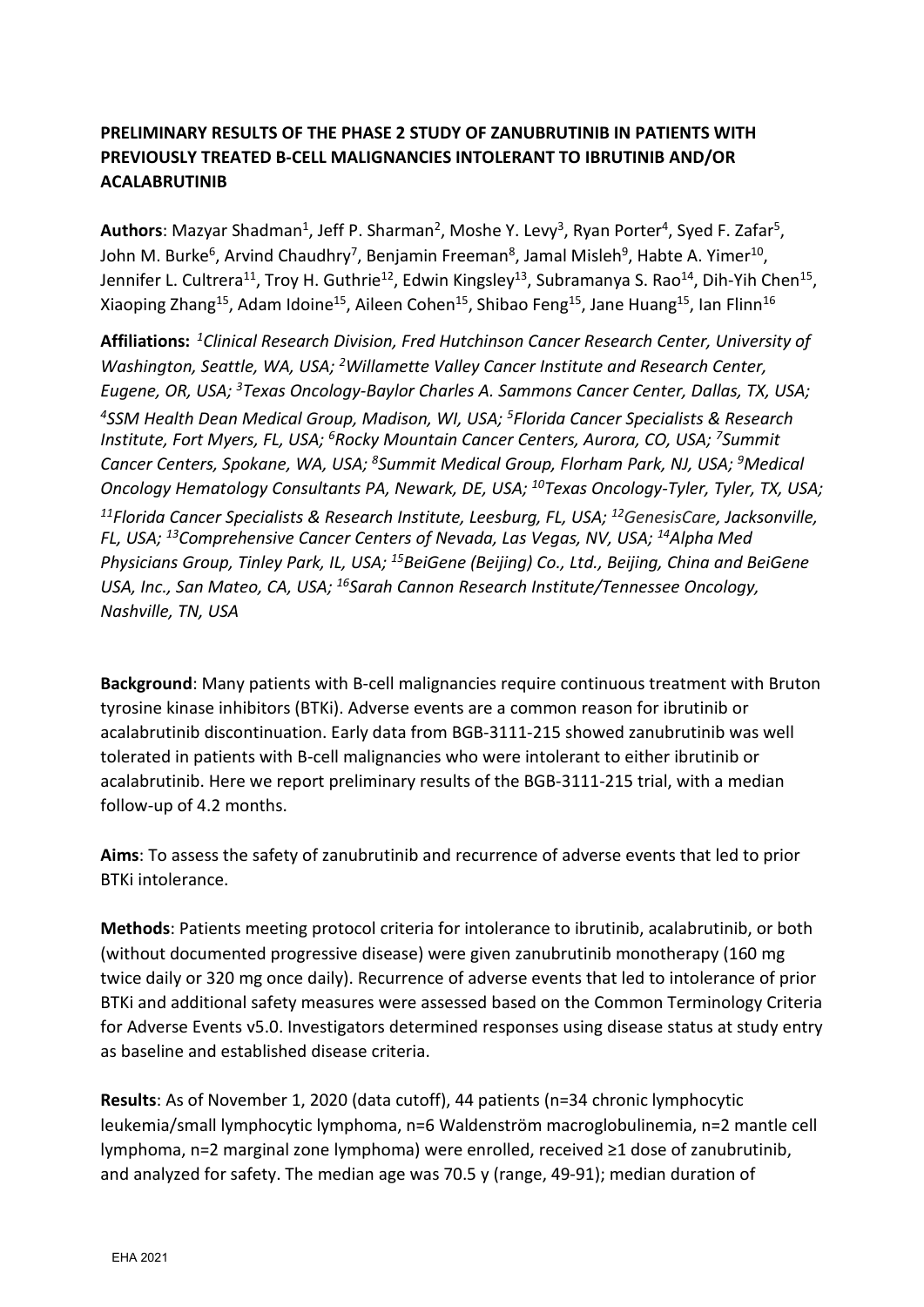## **PRELIMINARY RESULTS OF THE PHASE 2 STUDY OF ZANUBRUTINIB IN PATIENTS WITH PREVIOUSLY TREATED B-CELL MALIGNANCIES INTOLERANT TO IBRUTINIB AND/OR ACALABRUTINIB**

Authors: Mazyar Shadman<sup>1</sup>, Jeff P. Sharman<sup>2</sup>, Moshe Y. Levy<sup>3</sup>, Ryan Porter<sup>4</sup>, Syed F. Zafar<sup>5</sup>, John M. Burke<sup>6</sup>, Arvind Chaudhry<sup>7</sup>, Benjamin Freeman<sup>8</sup>, Jamal Misleh<sup>9</sup>, Habte A. Yimer<sup>10</sup>, Jennifer L. Cultrera<sup>11</sup>, Troy H. Guthrie<sup>12</sup>, Edwin Kingsley<sup>13</sup>, Subramanya S. Rao<sup>14</sup>, Dih-Yih Chen<sup>15</sup>, Xiaoping Zhang<sup>15</sup>, Adam Idoine<sup>15</sup>, Aileen Cohen<sup>15</sup>, Shibao Feng<sup>15</sup>, Jane Huang<sup>15</sup>, Ian Flinn<sup>16</sup>

**Affiliations:** *<sup>1</sup>Clinical Research Division, Fred Hutchinson Cancer Research Center, University of Washington, Seattle, WA, USA; <sup>2</sup>Willamette Valley Cancer Institute and Research Center, Eugene, OR, USA; <sup>3</sup>Texas Oncology-Baylor Charles A. Sammons Cancer Center, Dallas, TX, USA; <sup>4</sup>SSM Health Dean Medical Group, Madison, WI, USA; <sup>5</sup>Florida Cancer Specialists & Research Institute, Fort Myers, FL, USA; <sup>6</sup>Rocky Mountain Cancer Centers, Aurora, CO, USA; <sup>7</sup>Summit Cancer Centers, Spokane, WA, USA; <sup>8</sup>Summit Medical Group, Florham Park, NJ, USA; <sup>9</sup>Medical Oncology Hematology Consultants PA, Newark, DE, USA; <sup>10</sup>Texas Oncology-Tyler, Tyler, TX, USA; <sup>11</sup>Florida Cancer Specialists & Research Institute, Leesburg, FL, USA; <sup>12</sup>GenesisCare, Jacksonville, FL, USA; <sup>13</sup>Comprehensive Cancer Centers of Nevada, Las Vegas, NV, USA; <sup>14</sup>Alpha Med Physicians Group, Tinley Park, IL, USA; <sup>15</sup>BeiGene (Beijing) Co., Ltd., Beijing, China and BeiGene USA, Inc., San Mateo, CA, USA; <sup>16</sup>Sarah Cannon Research Institute/Tennessee Oncology, Nashville, TN, USA*

**Background**: Many patients with B-cell malignancies require continuous treatment with Bruton tyrosine kinase inhibitors (BTKi). Adverse events are a common reason for ibrutinib or acalabrutinib discontinuation. Early data from BGB-3111-215 showed zanubrutinib was well tolerated in patients with B-cell malignancies who were intolerant to either ibrutinib or acalabrutinib. Here we report preliminary results of the BGB-3111-215 trial, with a median follow-up of 4.2 months.

**Aims**: To assess the safety of zanubrutinib and recurrence of adverse events that led to prior BTKi intolerance.

**Methods**: Patients meeting protocol criteria for intolerance to ibrutinib, acalabrutinib, or both (without documented progressive disease) were given zanubrutinib monotherapy (160 mg twice daily or 320 mg once daily). Recurrence of adverse events that led to intolerance of prior BTKi and additional safety measures were assessed based on the Common Terminology Criteria for Adverse Events v5.0. Investigators determined responses using disease status at study entry as baseline and established disease criteria.

**Results**: As of November 1, 2020 (data cutoff), 44 patients (n=34 chronic lymphocytic leukemia/small lymphocytic lymphoma, n=6 Waldenström macroglobulinemia, n=2 mantle cell lymphoma, n=2 marginal zone lymphoma) were enrolled, received ≥1 dose of zanubrutinib, and analyzed for safety. The median age was 70.5 y (range, 49-91); median duration of